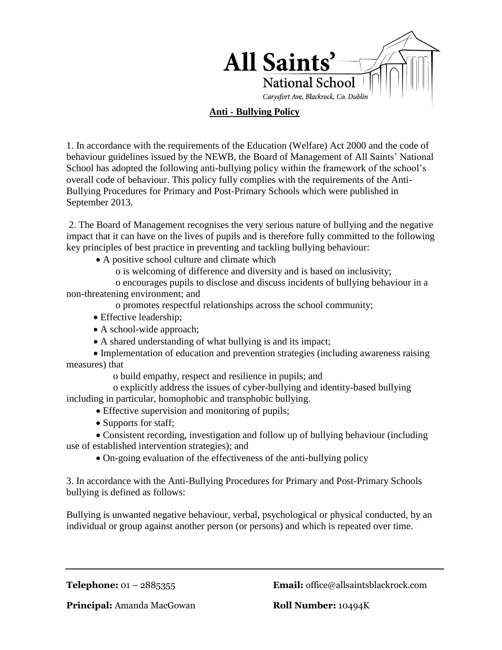

## **Anti - Bullying Policy**

1. In accordance with the requirements of the Education (Welfare) Act 2000 and the code of behaviour guidelines issued by the NEWB, the Board of Management of All Saints' National School has adopted the following anti-bullying policy within the framework of the school's overall code of behaviour. This policy fully complies with the requirements of the Anti-Bullying Procedures for Primary and Post-Primary Schools which were published in September 2013.

2. The Board of Management recognises the very serious nature of bullying and the negative impact that it can have on the lives of pupils and is therefore fully committed to the following key principles of best practice in preventing and tackling bullying behaviour:

- A positive school culture and climate which
	- o is welcoming of difference and diversity and is based on inclusivity;

 o encourages pupils to disclose and discuss incidents of bullying behaviour in a non-threatening environment; and

o promotes respectful relationships across the school community;

- Effective leadership;
- A school-wide approach;
- A shared understanding of what bullying is and its impact;

 Implementation of education and prevention strategies (including awareness raising measures) that

o build empathy, respect and resilience in pupils; and

 o explicitly address the issues of cyber-bullying and identity-based bullying including in particular, homophobic and transphobic bullying.

- Effective supervision and monitoring of pupils;
- Supports for staff;

 Consistent recording, investigation and follow up of bullying behaviour (including use of established intervention strategies); and

On-going evaluation of the effectiveness of the anti-bullying policy

3. In accordance with the Anti-Bullying Procedures for Primary and Post-Primary Schools bullying is defined as follows:

Bullying is unwanted negative behaviour, verbal, psychological or physical conducted, by an individual or group against another person (or persons) and which is repeated over time.

**Telephone:** 01 – 2885355 **Email:** office@allsaintsblackrock.com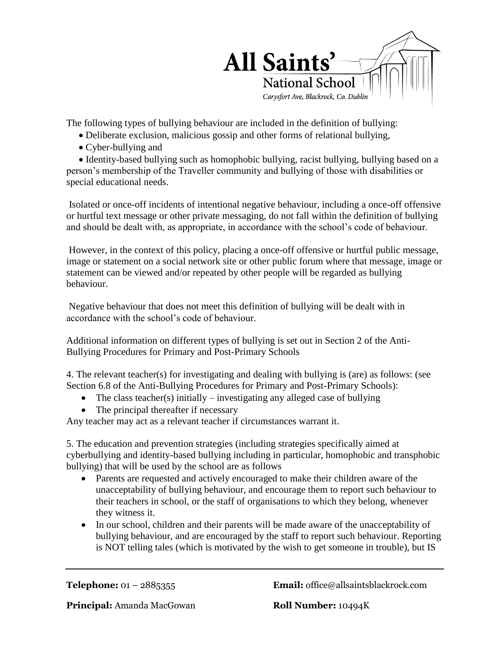

The following types of bullying behaviour are included in the definition of bullying:

- Deliberate exclusion, malicious gossip and other forms of relational bullying,
- Cyber-bullying and

 Identity-based bullying such as homophobic bullying, racist bullying, bullying based on a person's membership of the Traveller community and bullying of those with disabilities or special educational needs.

Isolated or once-off incidents of intentional negative behaviour, including a once-off offensive or hurtful text message or other private messaging, do not fall within the definition of bullying and should be dealt with, as appropriate, in accordance with the school's code of behaviour.

However, in the context of this policy, placing a once-off offensive or hurtful public message, image or statement on a social network site or other public forum where that message, image or statement can be viewed and/or repeated by other people will be regarded as bullying behaviour.

Negative behaviour that does not meet this definition of bullying will be dealt with in accordance with the school's code of behaviour.

Additional information on different types of bullying is set out in Section 2 of the Anti-Bullying Procedures for Primary and Post-Primary Schools

4. The relevant teacher(s) for investigating and dealing with bullying is (are) as follows: (see Section 6.8 of the Anti-Bullying Procedures for Primary and Post-Primary Schools):

- The class teacher(s) initially  $-$  investigating any alleged case of bullying
- The principal thereafter if necessary

Any teacher may act as a relevant teacher if circumstances warrant it.

5. The education and prevention strategies (including strategies specifically aimed at cyberbullying and identity-based bullying including in particular, homophobic and transphobic bullying) that will be used by the school are as follows

- Parents are requested and actively encouraged to make their children aware of the unacceptability of bullying behaviour, and encourage them to report such behaviour to their teachers in school, or the staff of organisations to which they belong, whenever they witness it.
- In our school, children and their parents will be made aware of the unacceptability of bullying behaviour, and are encouraged by the staff to report such behaviour. Reporting is NOT telling tales (which is motivated by the wish to get someone in trouble), but IS

**Telephone:** 01 – 2885355 **Email:** office@allsaintsblackrock.com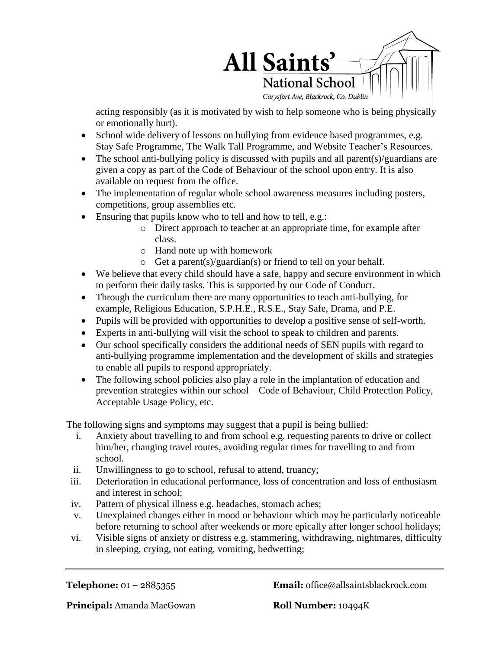

acting responsibly (as it is motivated by wish to help someone who is being physically or emotionally hurt).

- School wide delivery of lessons on bullying from evidence based programmes, e.g. Stay Safe Programme, The Walk Tall Programme, and Website Teacher's Resources.
- The school anti-bullying policy is discussed with pupils and all parent(s)/guardians are given a copy as part of the Code of Behaviour of the school upon entry. It is also available on request from the office.
- The implementation of regular whole school awareness measures including posters, competitions, group assemblies etc.
- Ensuring that pupils know who to tell and how to tell, e.g.:
	- o Direct approach to teacher at an appropriate time, for example after class.
	- o Hand note up with homework
	- o Get a parent(s)/guardian(s) or friend to tell on your behalf.
- We believe that every child should have a safe, happy and secure environment in which to perform their daily tasks. This is supported by our Code of Conduct.
- Through the curriculum there are many opportunities to teach anti-bullying, for example, Religious Education, S.P.H.E., R.S.E., Stay Safe, Drama, and P.E.
- Pupils will be provided with opportunities to develop a positive sense of self-worth.
- Experts in anti-bullying will visit the school to speak to children and parents.
- Our school specifically considers the additional needs of SEN pupils with regard to anti-bullying programme implementation and the development of skills and strategies to enable all pupils to respond appropriately.
- The following school policies also play a role in the implantation of education and prevention strategies within our school – Code of Behaviour, Child Protection Policy, Acceptable Usage Policy, etc.

The following signs and symptoms may suggest that a pupil is being bullied:

- i. Anxiety about travelling to and from school e.g. requesting parents to drive or collect him/her, changing travel routes, avoiding regular times for travelling to and from school.
- ii. Unwillingness to go to school, refusal to attend, truancy;
- iii. Deterioration in educational performance, loss of concentration and loss of enthusiasm and interest in school;
- iv. Pattern of physical illness e.g. headaches, stomach aches;
- v. Unexplained changes either in mood or behaviour which may be particularly noticeable before returning to school after weekends or more epically after longer school holidays;
- vi. Visible signs of anxiety or distress e.g. stammering, withdrawing, nightmares, difficulty in sleeping, crying, not eating, vomiting, bedwetting;

**Telephone:** 01 – 2885355 **Email:** office@allsaintsblackrock.com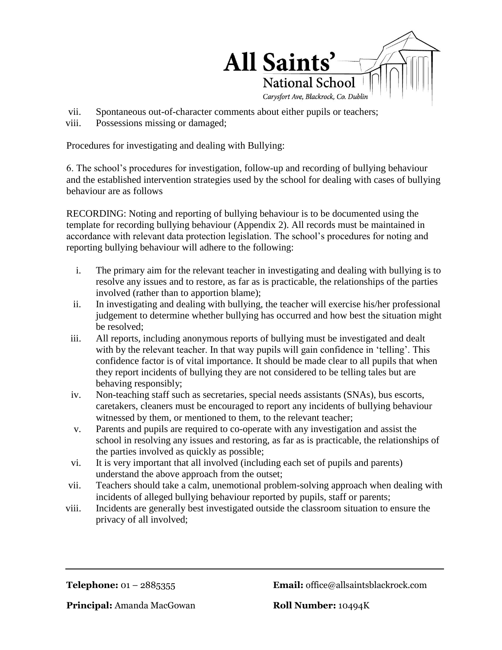

- vii. Spontaneous out-of-character comments about either pupils or teachers;
- viii. Possessions missing or damaged;

Procedures for investigating and dealing with Bullying:

6. The school's procedures for investigation, follow-up and recording of bullying behaviour and the established intervention strategies used by the school for dealing with cases of bullying behaviour are as follows

RECORDING: Noting and reporting of bullying behaviour is to be documented using the template for recording bullying behaviour (Appendix 2). All records must be maintained in accordance with relevant data protection legislation. The school's procedures for noting and reporting bullying behaviour will adhere to the following:

- i. The primary aim for the relevant teacher in investigating and dealing with bullying is to resolve any issues and to restore, as far as is practicable, the relationships of the parties involved (rather than to apportion blame);
- ii. In investigating and dealing with bullying, the teacher will exercise his/her professional judgement to determine whether bullying has occurred and how best the situation might be resolved;
- iii. All reports, including anonymous reports of bullying must be investigated and dealt with by the relevant teacher. In that way pupils will gain confidence in 'telling'. This confidence factor is of vital importance. It should be made clear to all pupils that when they report incidents of bullying they are not considered to be telling tales but are behaving responsibly;
- iv. Non-teaching staff such as secretaries, special needs assistants (SNAs), bus escorts, caretakers, cleaners must be encouraged to report any incidents of bullying behaviour witnessed by them, or mentioned to them, to the relevant teacher;
- v. Parents and pupils are required to co-operate with any investigation and assist the school in resolving any issues and restoring, as far as is practicable, the relationships of the parties involved as quickly as possible;
- vi. It is very important that all involved (including each set of pupils and parents) understand the above approach from the outset;
- vii. Teachers should take a calm, unemotional problem-solving approach when dealing with incidents of alleged bullying behaviour reported by pupils, staff or parents;
- viii. Incidents are generally best investigated outside the classroom situation to ensure the privacy of all involved;

**Telephone:** 01 – 2885355 **Email:** office@allsaintsblackrock.com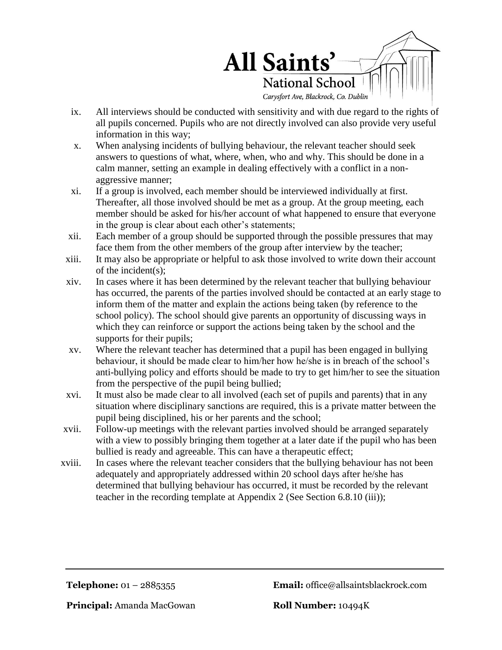

- ix. All interviews should be conducted with sensitivity and with due regard to the rights of all pupils concerned. Pupils who are not directly involved can also provide very useful information in this way;
- x. When analysing incidents of bullying behaviour, the relevant teacher should seek answers to questions of what, where, when, who and why. This should be done in a calm manner, setting an example in dealing effectively with a conflict in a nonaggressive manner;
- xi. If a group is involved, each member should be interviewed individually at first. Thereafter, all those involved should be met as a group. At the group meeting, each member should be asked for his/her account of what happened to ensure that everyone in the group is clear about each other's statements;
- xii. Each member of a group should be supported through the possible pressures that may face them from the other members of the group after interview by the teacher;
- xiii. It may also be appropriate or helpful to ask those involved to write down their account of the incident(s);
- xiv. In cases where it has been determined by the relevant teacher that bullying behaviour has occurred, the parents of the parties involved should be contacted at an early stage to inform them of the matter and explain the actions being taken (by reference to the school policy). The school should give parents an opportunity of discussing ways in which they can reinforce or support the actions being taken by the school and the supports for their pupils;
- xv. Where the relevant teacher has determined that a pupil has been engaged in bullying behaviour, it should be made clear to him/her how he/she is in breach of the school's anti-bullying policy and efforts should be made to try to get him/her to see the situation from the perspective of the pupil being bullied;
- xvi. It must also be made clear to all involved (each set of pupils and parents) that in any situation where disciplinary sanctions are required, this is a private matter between the pupil being disciplined, his or her parents and the school;
- xvii. Follow-up meetings with the relevant parties involved should be arranged separately with a view to possibly bringing them together at a later date if the pupil who has been bullied is ready and agreeable. This can have a therapeutic effect;
- xviii. In cases where the relevant teacher considers that the bullying behaviour has not been adequately and appropriately addressed within 20 school days after he/she has determined that bullying behaviour has occurred, it must be recorded by the relevant teacher in the recording template at Appendix 2 (See Section 6.8.10 (iii));

**Telephone:** 01 – 2885355 **Email:** office@allsaintsblackrock.com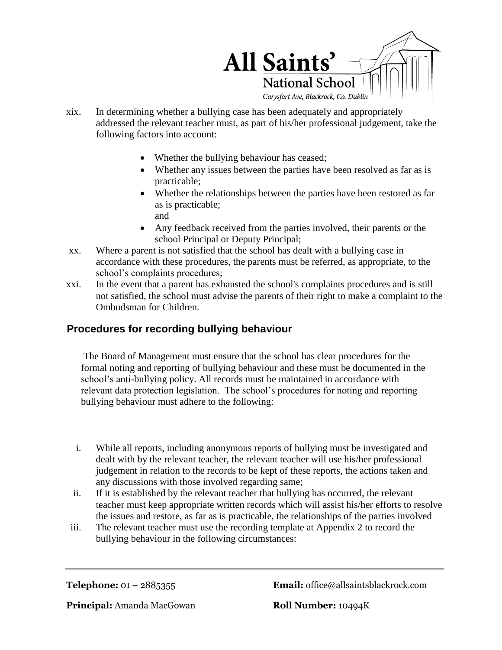

- xix. In determining whether a bullying case has been adequately and appropriately addressed the relevant teacher must, as part of his/her professional judgement, take the following factors into account:
	- Whether the bullying behaviour has ceased;
	- Whether any issues between the parties have been resolved as far as is practicable;
	- Whether the relationships between the parties have been restored as far as is practicable;

and

- Any feedback received from the parties involved, their parents or the school Principal or Deputy Principal;
- xx. Where a parent is not satisfied that the school has dealt with a bullying case in accordance with these procedures, the parents must be referred, as appropriate, to the school's complaints procedures;
- xxi. In the event that a parent has exhausted the school's complaints procedures and is still not satisfied, the school must advise the parents of their right to make a complaint to the Ombudsman for Children.

# **Procedures for recording bullying behaviour**

The Board of Management must ensure that the school has clear procedures for the formal noting and reporting of bullying behaviour and these must be documented in the school's anti-bullying policy. All records must be maintained in accordance with relevant data protection legislation. The school's procedures for noting and reporting bullying behaviour must adhere to the following:

- i. While all reports, including anonymous reports of bullying must be investigated and dealt with by the relevant teacher, the relevant teacher will use his/her professional judgement in relation to the records to be kept of these reports, the actions taken and any discussions with those involved regarding same;
- ii. If it is established by the relevant teacher that bullying has occurred, the relevant teacher must keep appropriate written records which will assist his/her efforts to resolve the issues and restore, as far as is practicable, the relationships of the parties involved
- iii. The relevant teacher must use the recording template at Appendix 2 to record the bullying behaviour in the following circumstances:

**Telephone:** 01 – 2885355 **Email:** office@allsaintsblackrock.com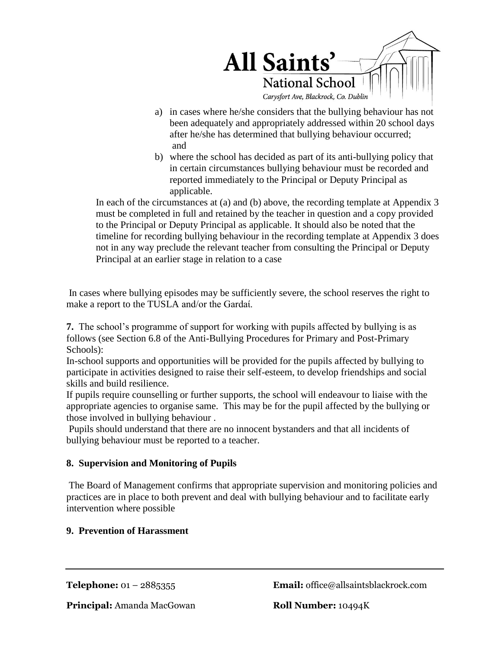

- a) in cases where he/she considers that the bullying behaviour has not been adequately and appropriately addressed within 20 school days after he/she has determined that bullying behaviour occurred; and
- b) where the school has decided as part of its anti-bullying policy that in certain circumstances bullying behaviour must be recorded and reported immediately to the Principal or Deputy Principal as applicable.

In each of the circumstances at (a) and (b) above, the recording template at Appendix 3 must be completed in full and retained by the teacher in question and a copy provided to the Principal or Deputy Principal as applicable. It should also be noted that the timeline for recording bullying behaviour in the recording template at Appendix 3 does not in any way preclude the relevant teacher from consulting the Principal or Deputy Principal at an earlier stage in relation to a case

In cases where bullying episodes may be sufficiently severe, the school reserves the right to make a report to the TUSLA and/or the Gardaί.

**7.** The school's programme of support for working with pupils affected by bullying is as follows (see Section 6.8 of the Anti-Bullying Procedures for Primary and Post-Primary Schools):

In-school supports and opportunities will be provided for the pupils affected by bullying to participate in activities designed to raise their self-esteem, to develop friendships and social skills and build resilience.

If pupils require counselling or further supports, the school will endeavour to liaise with the appropriate agencies to organise same. This may be for the pupil affected by the bullying or those involved in bullying behaviour .

Pupils should understand that there are no innocent bystanders and that all incidents of bullying behaviour must be reported to a teacher.

## **8. Supervision and Monitoring of Pupils**

The Board of Management confirms that appropriate supervision and monitoring policies and practices are in place to both prevent and deal with bullying behaviour and to facilitate early intervention where possible

## **9. Prevention of Harassment**

**Telephone:** 01 – 2885355 **Email:** office@allsaintsblackrock.com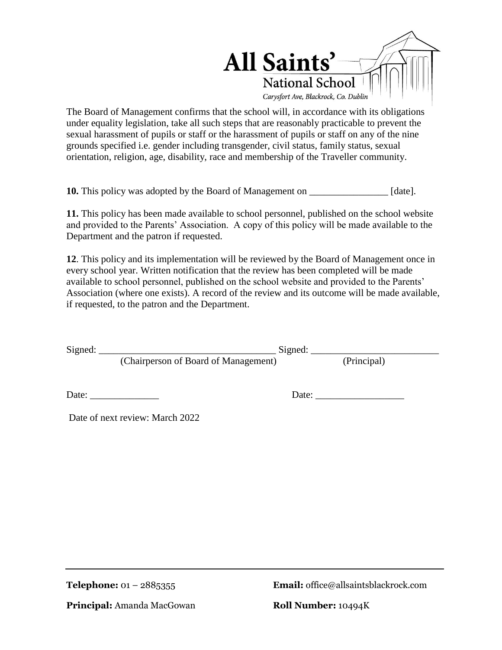

The Board of Management confirms that the school will, in accordance with its obligations under equality legislation, take all such steps that are reasonably practicable to prevent the sexual harassment of pupils or staff or the harassment of pupils or staff on any of the nine grounds specified i.e. gender including transgender, civil status, family status, sexual orientation, religion, age, disability, race and membership of the Traveller community.

**10.** This policy was adopted by the Board of Management on \_\_\_\_\_\_\_\_\_\_\_\_\_\_\_\_ [date].

**11.** This policy has been made available to school personnel, published on the school website and provided to the Parents' Association. A copy of this policy will be made available to the Department and the patron if requested.

**12**. This policy and its implementation will be reviewed by the Board of Management once in every school year. Written notification that the review has been completed will be made available to school personnel, published on the school website and provided to the Parents' Association (where one exists). A record of the review and its outcome will be made available, if requested, to the patron and the Department.

| Signed: | Signed: $\_\_$                       |       |             |  |
|---------|--------------------------------------|-------|-------------|--|
|         | (Chairperson of Board of Management) |       | (Principal) |  |
|         | Date: _______________                | Date: |             |  |
|         | Date of next review: March 2022      |       |             |  |

**Telephone:** 01 – 2885355 **Email:** office@allsaintsblackrock.com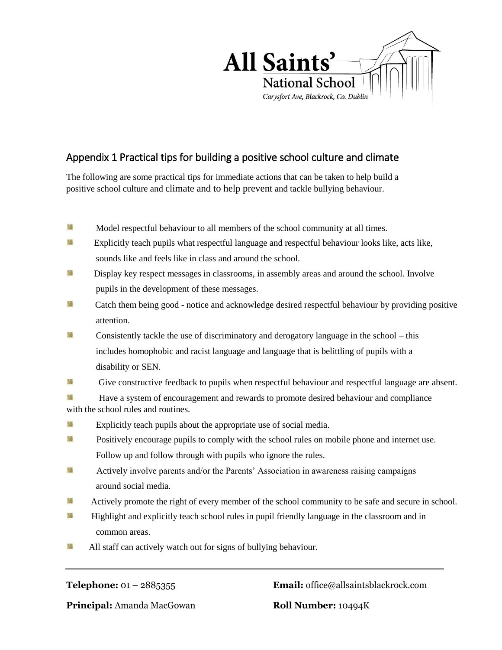

## Appendix 1 Practical tips for building a positive school culture and climate

The following are some practical tips for immediate actions that can be taken to help build a positive school culture and climate and to help prevent and tackle bullying behaviour.

- 膈 Model respectful behaviour to all members of the school community at all times.
- 語 Explicitly teach pupils what respectful language and respectful behaviour looks like, acts like, sounds like and feels like in class and around the school.
- 陽 Display key respect messages in classrooms, in assembly areas and around the school. Involve pupils in the development of these messages.
- 陽 Catch them being good - notice and acknowledge desired respectful behaviour by providing positive attention.
- 骚 Consistently tackle the use of discriminatory and derogatory language in the school – this includes homophobic and racist language and language that is belittling of pupils with a disability or SEN.
- 陽 Give constructive feedback to pupils when respectful behaviour and respectful language are absent.

**H**<br>Have a system of encouragement and rewards to promote desired behaviour and compliance with the school rules and routines.

- 膈 Explicitly teach pupils about the appropriate use of social media.
- 語 Positively encourage pupils to comply with the school rules on mobile phone and internet use. Follow up and follow through with pupils who ignore the rules.
- 装 Actively involve parents and/or the Parents' Association in awareness raising campaigns around social media.
- 陽 Actively promote the right of every member of the school community to be safe and secure in school.
- 福 Highlight and explicitly teach school rules in pupil friendly language in the classroom and in common areas.
- 陽 All staff can actively watch out for signs of bullying behaviour.

**Telephone:** 01 – 2885355 **Email:** office@allsaintsblackrock.com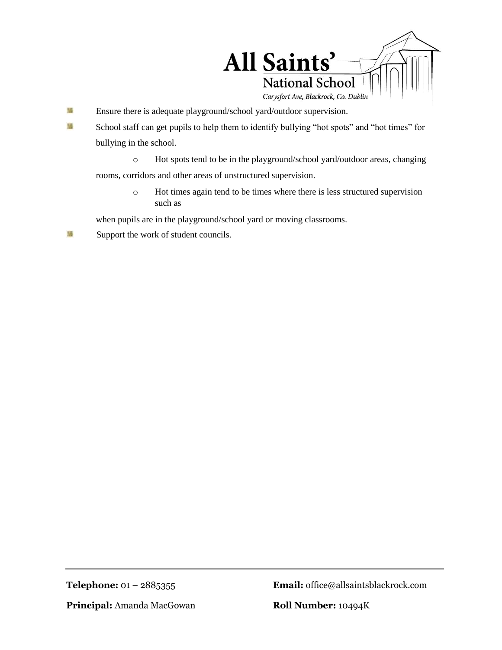

- 骚 Ensure there is adequate playground/school yard/outdoor supervision.
- 陽 School staff can get pupils to help them to identify bullying "hot spots" and "hot times" for bullying in the school.
	- o Hot spots tend to be in the playground/school yard/outdoor areas, changing

rooms, corridors and other areas of unstructured supervision.

o Hot times again tend to be times where there is less structured supervision such as

when pupils are in the playground/school yard or moving classrooms.

骚 Support the work of student councils.

**Telephone:** 01 – 2885355 **Email:** office@allsaintsblackrock.com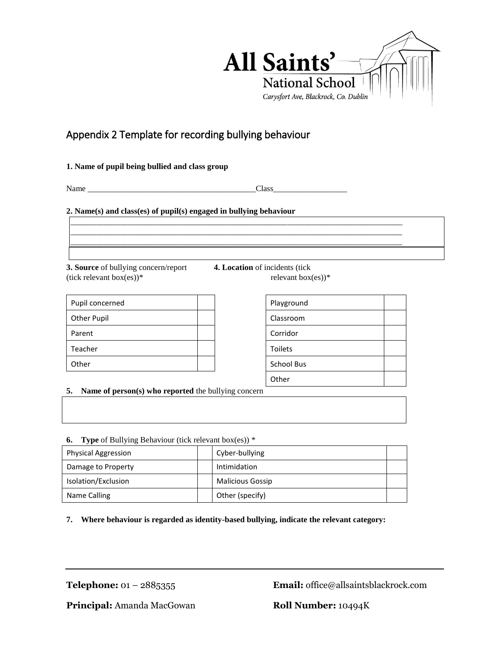

# Appendix 2 Template for recording bullying behaviour

#### **1. Name of pupil being bullied and class group**

Name \_\_\_\_\_\_\_\_\_\_\_\_\_\_\_\_\_\_\_\_\_\_\_\_\_\_\_\_\_\_\_\_\_\_\_\_\_\_\_\_\_Class\_\_\_\_\_\_\_\_\_\_\_\_\_\_\_\_\_\_

\_\_\_\_\_\_\_\_\_\_\_\_\_\_\_\_\_\_\_\_\_\_\_\_\_\_\_\_\_\_\_\_\_\_\_\_\_\_\_\_\_\_\_\_\_\_\_\_\_\_\_\_\_\_\_\_\_\_\_\_\_\_\_\_\_\_\_\_\_\_\_\_\_\_\_\_\_\_\_\_\_ \_\_\_\_\_\_\_\_\_\_\_\_\_\_\_\_\_\_\_\_\_\_\_\_\_\_\_\_\_\_\_\_\_\_\_\_\_\_\_\_\_\_\_\_\_\_\_\_\_\_\_\_\_\_\_\_\_\_\_\_\_\_\_\_\_\_\_\_\_\_\_\_\_\_\_\_\_\_\_\_\_ \_\_\_\_\_\_\_\_\_\_\_\_\_\_\_\_\_\_\_\_\_\_\_\_\_\_\_\_\_\_\_\_\_\_\_\_\_\_\_\_\_\_\_\_\_\_\_\_\_\_\_\_\_\_\_\_\_\_\_\_\_\_\_\_\_\_\_\_\_\_\_\_\_\_\_\_\_\_\_\_\_

#### **2. Name(s) and class(es) of pupil(s) engaged in bullying behaviour**

**3. Source** of bullying concern/report **4. Location** of incidents (tick (tick relevant box(es))\* relevant box(es))\*

| Pupil concerned    |  |
|--------------------|--|
| <b>Other Pupil</b> |  |
| Parent             |  |
| Teacher            |  |
| Other              |  |

| Playground        |  |
|-------------------|--|
| Classroom         |  |
| Corridor          |  |
| Toilets           |  |
| <b>School Bus</b> |  |
| Other             |  |

**5. Name of person(s) who reported** the bullying concern

**6. Type** of Bullying Behaviour (tick relevant box(es)) \*

| $\cdots$ = $\cdots$ , $\cdots$ = $\cdots$ , $\cdots$ , $\cdots$ = $\cdots$ . $\cdots$ , $\cdots$ . $\cdots$ , $\cdots$ , $\cdots$ , $\cdots$ , $\cdots$ , $\cdots$ , $\cdots$ , $\cdots$ , $\cdots$ , $\cdots$ , $\cdots$ , $\cdots$ , $\cdots$ , $\cdots$ , $\cdots$ , $\cdots$ , $\cdots$ , $\cdots$ , $\cdots$ |                         |  |  |  |  |
|-------------------------------------------------------------------------------------------------------------------------------------------------------------------------------------------------------------------------------------------------------------------------------------------------------------------|-------------------------|--|--|--|--|
| <b>Physical Aggression</b>                                                                                                                                                                                                                                                                                        | Cyber-bullying          |  |  |  |  |
| Damage to Property                                                                                                                                                                                                                                                                                                | Intimidation            |  |  |  |  |
| Isolation/Exclusion                                                                                                                                                                                                                                                                                               | <b>Malicious Gossip</b> |  |  |  |  |
| Name Calling                                                                                                                                                                                                                                                                                                      | Other (specify)         |  |  |  |  |

#### **7. Where behaviour is regarded as identity-based bullying, indicate the relevant category:**

**Telephone:** 01 – 2885355 **Email:** office@allsaintsblackrock.com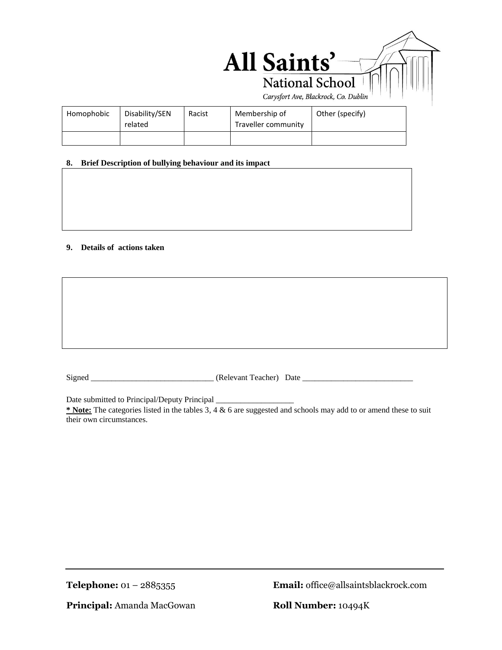

| 8. | Brief Description of bullying behaviour and its impact |
|----|--------------------------------------------------------|
|    |                                                        |

**9. Details of actions taken** 

Homophobic | Disability/SEN

related

Signed \_\_\_\_\_\_\_\_\_\_\_\_\_\_\_\_\_\_\_\_\_\_\_\_\_\_\_\_\_\_ (Relevant Teacher) Date \_\_\_\_\_\_\_\_\_\_\_\_\_\_\_\_\_\_\_\_\_\_\_\_\_\_\_

Date submitted to Principal/Deputy Principal

**\* Note:** The categories listed in the tables 3, 4 & 6 are suggested and schools may add to or amend these to suit their own circumstances.

**Telephone:** 01 – 2885355 **Email:** office@allsaintsblackrock.com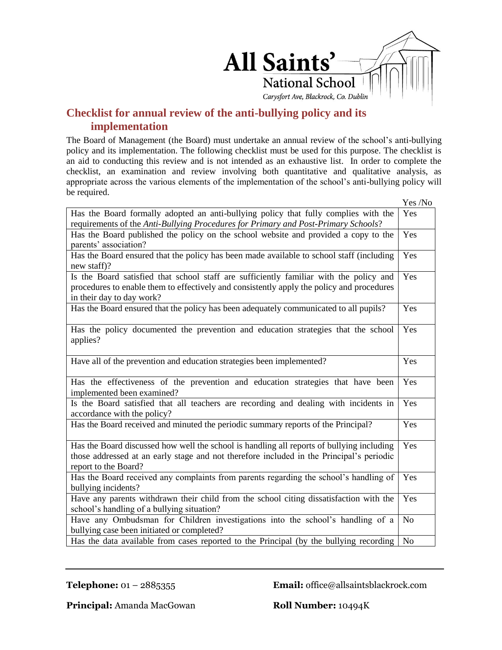

## **Checklist for annual review of the anti-bullying policy and its implementation**

The Board of Management (the Board) must undertake an annual review of the school's anti-bullying policy and its implementation. The following checklist must be used for this purpose. The checklist is an aid to conducting this review and is not intended as an exhaustive list. In order to complete the checklist, an examination and review involving both quantitative and qualitative analysis, as appropriate across the various elements of the implementation of the school's anti-bullying policy will be required.

|                                                                                                                                                                                                                  | Yes /No |  |
|------------------------------------------------------------------------------------------------------------------------------------------------------------------------------------------------------------------|---------|--|
| Has the Board formally adopted an anti-bullying policy that fully complies with the<br>requirements of the Anti-Bullying Procedures for Primary and Post-Primary Schools?                                        | Yes     |  |
| Has the Board published the policy on the school website and provided a copy to the<br>parents' association?                                                                                                     |         |  |
| Has the Board ensured that the policy has been made available to school staff (including<br>new staff)?                                                                                                          | Yes     |  |
| Is the Board satisfied that school staff are sufficiently familiar with the policy and<br>procedures to enable them to effectively and consistently apply the policy and procedures<br>in their day to day work? | Yes     |  |
| Has the Board ensured that the policy has been adequately communicated to all pupils?                                                                                                                            | Yes     |  |
| Has the policy documented the prevention and education strategies that the school<br>applies?                                                                                                                    | Yes     |  |
| Have all of the prevention and education strategies been implemented?                                                                                                                                            | Yes     |  |
| Has the effectiveness of the prevention and education strategies that have been<br>implemented been examined?                                                                                                    |         |  |
| Is the Board satisfied that all teachers are recording and dealing with incidents in<br>accordance with the policy?                                                                                              |         |  |
| Has the Board received and minuted the periodic summary reports of the Principal?                                                                                                                                | Yes     |  |
| Has the Board discussed how well the school is handling all reports of bullying including<br>those addressed at an early stage and not therefore included in the Principal's periodic<br>report to the Board?    |         |  |
| Has the Board received any complaints from parents regarding the school's handling of<br>bullying incidents?                                                                                                     |         |  |
| Have any parents withdrawn their child from the school citing dissatisfaction with the<br>school's handling of a bullying situation?                                                                             |         |  |
| Have any Ombudsman for Children investigations into the school's handling of a<br>bullying case been initiated or completed?                                                                                     |         |  |
| Has the data available from cases reported to the Principal (by the bullying recording                                                                                                                           |         |  |

**Telephone:** 01 – 2885355 **Email:** office@allsaintsblackrock.com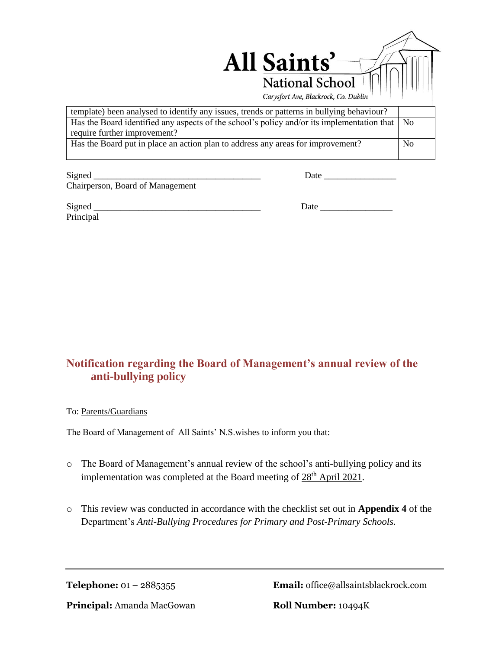

Signed \_\_\_\_\_\_\_\_\_\_\_\_\_\_\_\_\_\_\_\_\_\_\_\_\_\_\_\_\_\_\_\_\_\_\_\_\_ Date \_\_\_\_\_\_\_\_\_\_\_\_\_\_\_\_ Chairperson, Board of Management

Principal

Signed Date  $\Box$ 

# **Notification regarding the Board of Management's annual review of the anti-bullying policy**

#### To: Parents/Guardians

The Board of Management of All Saints' N.S.wishes to inform you that:

- o The Board of Management's annual review of the school's anti-bullying policy and its implementation was completed at the Board meeting of 28<sup>th</sup> April 2021.
- o This review was conducted in accordance with the checklist set out in **Appendix 4** of the Department's *Anti-Bullying Procedures for Primary and Post-Primary Schools.*

**Telephone:** 01 – 2885355 **Email:** office@allsaintsblackrock.com